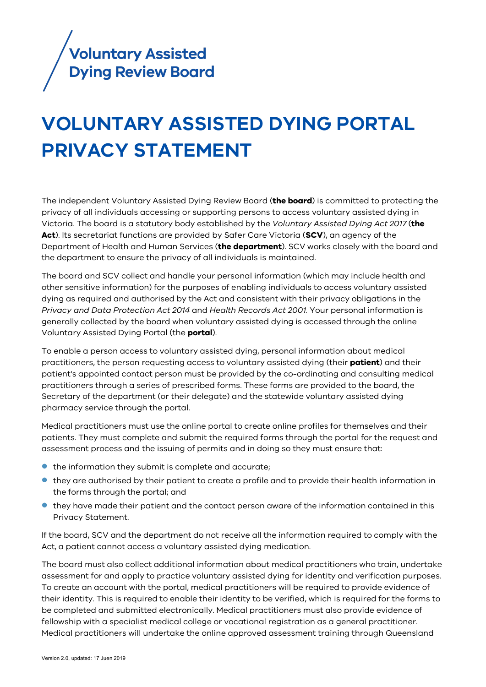

# **VOLUNTARY ASSISTED DYING PORTAL PRIVACY STATEMENT**

The independent Voluntary Assisted Dying Review Board (**the board**) is committed to protecting the privacy of all individuals accessing or supporting persons to access voluntary assisted dying in Victoria. The board is a statutory body established by the *Voluntary Assisted Dying Act 2017* (**the Act**). Its secretariat functions are provided by Safer Care Victoria (**SCV**), an agency of the Department of Health and Human Services (**the department**). SCV works closely with the board and the department to ensure the privacy of all individuals is maintained.

The board and SCV collect and handle your personal information (which may include health and other sensitive information) for the purposes of enabling individuals to access voluntary assisted dying as required and authorised by the Act and consistent with their privacy obligations in the *Privacy and Data Protection Act 2014* and *Health Records Act 2001.* Your personal information is generally collected by the board when voluntary assisted dying is accessed through the online Voluntary Assisted Dying Portal (the **portal**).

To enable a person access to voluntary assisted dying, personal information about medical practitioners, the person requesting access to voluntary assisted dying (their **patient**) and their patient's appointed contact person must be provided by the co-ordinating and consulting medical practitioners through a series of prescribed forms. These forms are provided to the board, the Secretary of the department (or their delegate) and the statewide voluntary assisted dying pharmacy service through the portal.

Medical practitioners must use the online portal to create online profiles for themselves and their patients. They must complete and submit the required forms through the portal for the request and assessment process and the issuing of permits and in doing so they must ensure that:

- the information they submit is complete and accurate;
- they are authorised by their patient to create a profile and to provide their health information in the forms through the portal; and
- they have made their patient and the contact person aware of the information contained in this Privacy Statement.

If the board, SCV and the department do not receive all the information required to comply with the Act, a patient cannot access a voluntary assisted dying medication.

The board must also collect additional information about medical practitioners who train, undertake assessment for and apply to practice voluntary assisted dying for identity and verification purposes. To create an account with the portal, medical practitioners will be required to provide evidence of their identity. This is required to enable their identity to be verified, which is required for the forms to be completed and submitted electronically. Medical practitioners must also provide evidence of fellowship with a specialist medical college or vocational registration as a general practitioner. Medical practitioners will undertake the online approved assessment training through Queensland